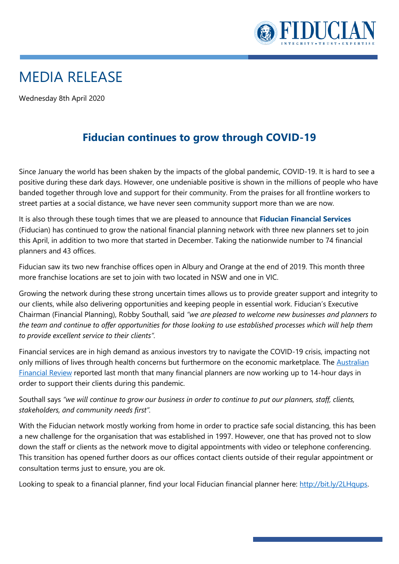

## MEDIA RELEASE

Wednesday 8th April 2020

## **Fiducian continues to grow through COVID-19**

Since January the world has been shaken by the impacts of the global pandemic, COVID-19. It is hard to see a positive during these dark days. However, one undeniable positive is shown in the millions of people who have banded together through love and support for their community. From the praises for all frontline workers to street parties at a social distance, we have never seen community support more than we are now.

It is also through these tough times that we are pleased to announce that **Fiducian Financial Services**  (Fiducian) has continued to grow the national financial planning network with three new planners set to join this April, in addition to two more that started in December. Taking the nationwide number to 74 financial planners and 43 offices.

Fiducian saw its two new franchise offices open in Albury and Orange at the end of 2019. This month three more franchise locations are set to join with two located in NSW and one in VIC.

Growing the network during these strong uncertain times allows us to provide greater support and integrity to our clients, while also delivering opportunities and keeping people in essential work. Fiducian's Executive Chairman (Financial Planning), Robby Southall, said *"we are pleased to welcome new businesses and planners to the team and continue to offer opportunities for those looking to use established processes which will help them to provide excellent service to their clients".* 

Financial services are in high demand as anxious investors try to navigate the COVID-19 crisis, impacting not only millions of lives through health concerns but furthermore on the economic marketplace. The Australian [Financial Review](https://www.afr.com/companies/financial-services/swamped-amp-planners-demand-covid-19-relief-20200327-p54eoc) reported last month that many financial planners are now working up to 14-hour days in order to support their clients during this pandemic.

Southall says *"we will continue to grow our business in order to continue to put our planners, staff, clients, stakeholders, and community needs first".*

With the Fiducian network mostly working from home in order to practice safe social distancing, this has been a new challenge for the organisation that was established in 1997. However, one that has proved not to slow down the staff or clients as the network move to digital appointments with video or telephone conferencing. This transition has opened further doors as our offices contact clients outside of their regular appointment or consultation terms just to ensure, you are ok.

Looking to speak to a financial planner, find your local Fiducian financial planner here: [http://bit.ly/2LHqups.](http://bit.ly/2LHqups)